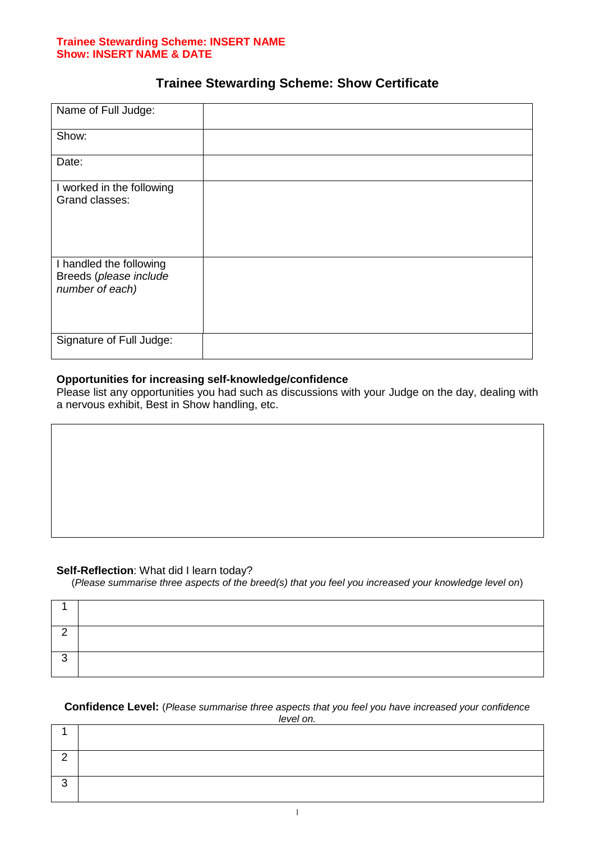#### **Trainee Stewarding Scheme: INSERT NAME Show: INSERT NAME & DATE**

# **Trainee Stewarding Scheme: Show Certificate**

| Name of Full Judge:                                                  |  |
|----------------------------------------------------------------------|--|
| Show:                                                                |  |
| Date:                                                                |  |
| I worked in the following<br>Grand classes:                          |  |
| I handled the following<br>Breeds (please include<br>number of each) |  |
| Signature of Full Judge:                                             |  |

# **Opportunities for increasing self-knowledge/confidence**

Please list any opportunities you had such as discussions with your Judge on the day, dealing with a nervous exhibit, Best in Show handling, etc.

# **Self-Reflection**: What did I learn today?

(*Please summarise three aspects of the breed(s) that you feel you increased your knowledge level on*)

#### **Confidence Level:** (*Please summarise three aspects that you feel you have increased your confidence level on.*

| . |  |  |  |  |
|---|--|--|--|--|
|   |  |  |  |  |
| ⌒ |  |  |  |  |
| ⌒ |  |  |  |  |